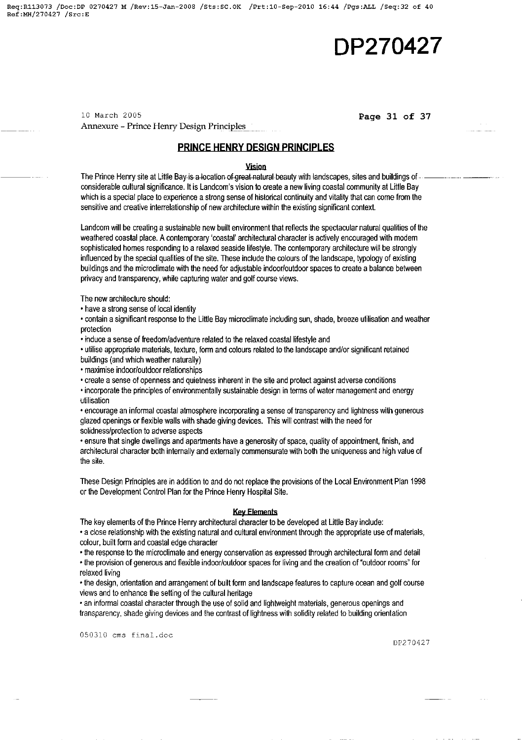**Req:Rl13073 /Doc:DP 0270427 M /Rev:15-Jan-2008 /Sts:SC.OK /Prt:10-Sep-2010 16:44 /Pgs:ALL /Seq:32 of 40 Ref:MH/270427 /Src:E** 

# **DP270427**

10 March 2005 **Page 31 of 37** Annexure - Prince Henry Design Principles

# **PRINCE HENRY DESIGN PRINCIPLES**

<u>.<br>- Vision</u><br>- The Prince Henry site at Little Bay-is a-location of great natural beauty with landscapes, sites and buildings of considerable cultural significance. It is Landcom's vision to create a new living coastal community at Little Bay which is a special place to experience a strong sense of historical continuity and vitality that can come from the sensitive and creative interrelationship of new architecture within the existing significant context.

Landcom will be creating a sustainable new built environment that reflects the spectacular natural qualities of the weathered coastal place. A contemporary 'coastal' architectural character is actively encouraged with modem sophisticated homes responding to a relaxed seaside lifestyle. The contemporary architecture will be strongly influenced by the special qualities of the site. These include the colours of the landscape, typology of existing buildings and the microclimate with the need for adjustable indoor/outdoor spaces to create a balance between privacy and transparency, while capturing water and golf course views.

The new architecture should:

• have a strong sense of local identity

• contain a significant response to the Little Bay microclimate including sun, shade, breeze utilisation and weather protection

• induce a sense of freedom/adventure related to the relaxed coastal lifestyle and

• utilise appropriate materials, texture, fonm and colours related to the landscape and/or significant retained buildings (and which weather naturally)

• maximise indoor/outdoor relationships

• create a sense of openness and quietness inherent in the site and protect against adverse conditions

• incorporate the principles of environmentally sustainable design in tenms of water management and energy utilisation

• encourage an infonmal coastal atmosphere incorporating a sense of transparency and lightness with generous glazed openings or flexible walls with shade giving devices. This will contrast with the need for solidness/protection to adverse aspects

• ensure that single dwellings and apartments have a generosity of space, quality of appointment, finish, and architectural character both intemally and extemally commensurate with both the uniqueness and high value of the site.

These Design Principles are in addition to and do not replace the provisions of the Local Environment Plan 1998 or the Development Control Plan for the Prince Henry Hospital Site.

#### **Key Elements**

The key elements of the Prince Henry architectural character to be developed at Little Bay include:

• a close relationship with the existing natural and cultural environment through the appropriate use of materials, colour, built fonm and coastal edge character

• the response to the microclimate and energy conservation as expressed through architectural fonm and detail • the provision of generous and flexible indoor/outdoor spaces for living and the creation of "outdoor rooms" for

relaxed living

• the design, orientation and arrangement of built fonm and landscape features to capture ocean and golf course views and to enhance the setting of the cultural heritage

• an informal coastal character through the use of solid and lightweight materials, generous openings and transparency, shade giving devices and the contrast of lightness with solidity related to building orientation

050310 cms final.doc

DP270427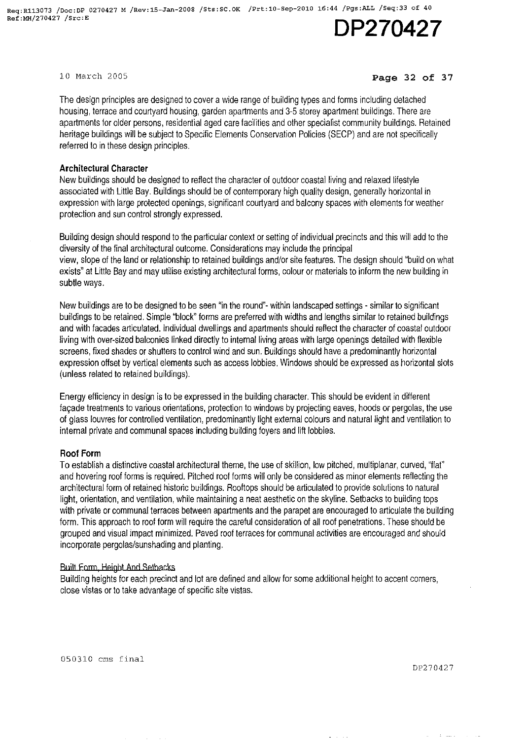10 March 2005

## **Page 32 of 37**

The design principles are designed to cover a wide range of building types and forms including detached housing, terrace and courtyard housing, garden apartments and 3-5 storey apartment buildings. There are apartments for older persons, residential aged care facilities and other specialist community buildings. Retained heritage buildings will be subject to Specific Elements Conservation Policies (SECP) and are not specifically referred to in these design principles.

# **Architectural Character**

New buildings should be designed to reflect the character of outdoor coastal living and relaxed lifestyle associated with Little Bay. Buildings should be of contemporary high quality design, generally horizontal in expression with large protected openings, significant courtyard and balcony spaces with elements for weather protection and sun control strongly expressed.

Building design should respond to the particular context or setting of individual precincts and this will add to the diversity of the final architectural outcome. Considerations may include the principal view, slope of the land or relationship to retained buildings and/or site features. The design should "build on what exists" at Little Bay and may utilise existing architectural forms, colour or materials to inform the new building in subtle ways.

New buildings are to be designed to be seen "in the round"- within landscaped settings - similar to significant buildings to be retained. Simple "block" forms are preferred with widths and lengths similar to retained buildings and with facades articulated. Individual dwellings and apartments should reflect the character of coastal outdoor living with over-sized balconies linked directly to internal living areas with large openings detailed with flexible screens, fixed shades or shutters to control wind and sun. Buildings should have a predominantly horizontal expression offset by vertical elements such as access lobbies. Windows should be expressed as horizontal slots (unless related to retained buildings).

Energy efficiency in design is to be expressed in the building character. This should be evident in different façade treatments to various orientations, protection to windows by projecting eaves, hoods or pergolas, the use of glass louvres for controlled ventilation, predominantly light external colours and natural light and ventilation to internal private and communal spaces including building foyers and lift lobbies.

# **Roof Form**

To establish a distinctive coastal architectural theme, the use of skillion, low pitched, multiplanar, curved, '1Iat" and hovering roof forms is required. Pitched roof forms will only be considered as minor elements reflecting the architectural form of retained historic buildings. Rooftops should be articulated to provide solutions to natural light, orientation, and ventilation, while maintaining a neat aesthetic on the skyline. Setbacks to building tops with private or communal terraces between apartments and the parapet are encouraged to articulate the building form. This approach to roof form will require the careful consideration of all roof penetrations. These should be grouped and visual impact minimized. Paved roof terraces for communal activities are encouraged and should incorporate pergolas/sunshading and planting.

# Built Form, Height And Setbacks

Building heights for each precinct and lot are defined and allow for some additional height to accent corners, close vistas or to take advantage of specific site vistas.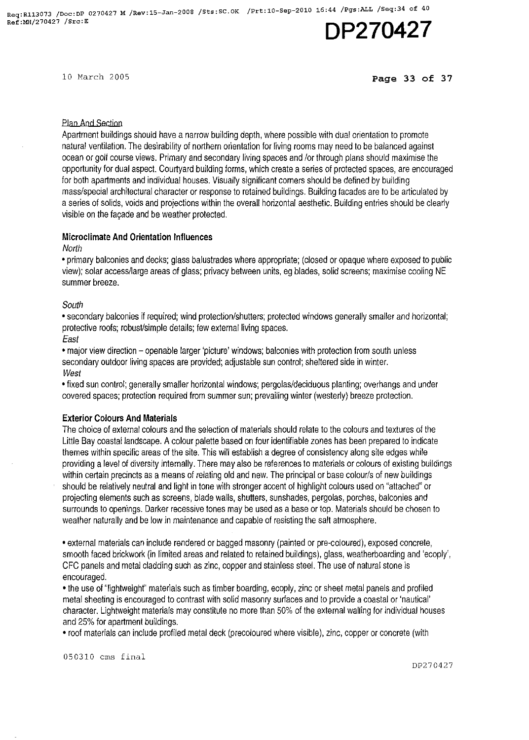10 March 2005

# **Page 33 of 37**

# plan And Section

Apartment buildings should have a narrow building depth, where possible with dual orientation to promote natural ventilation, The desirability of northern orientation for living rooms may need to be balanced against ocean or golf course views, Primary and secondary living spaces and lor through plans should maximise the opportunity for dual aspect. Courtyard building forms, which create a series of protected spaces, are encouraged for both apartments and individual houses, Visually Significant corners should be defined by building mass/special architectural character or response to retained buildings, Building facades are to be articulated by a series of solids, voids and projections within the overall horizontal aesthetic, Building entries should be clearly visible on the fagade and be weather protected,

# **Microclimate And Orientation Influences**

**North** 

• primary balconies **and** decks; glass balustrades where appropriate; (closed or opaque where exposed to public view); solar access/large areas of glass; privacy between units, eg blades, solid screens; maximise cooling NE summer breeze,

# South

• secondary balconies if required; wind protection/shutters; protected windows generally smaller and horizontal; protective roofs; robust/simple details; few external living spaces,

East

• major view direction - openable larger 'picture' windows; balconies with protection from south unless secondary outdoor living spaces are provided; adjustable sun control; sheltered side in winter. **West** 

• fixed sun control; generally smaller horizontal windows; pergolas/deciduous planting; overhangs and under covered spaces; protection required from summer sun; prevailing winter (westerly) breeze protection,

# **Exterior Colours And Materials**

The choice of external colours and the selection of materials should relate to the colours and textures of the Little Bay coastal landscape, A colour palette based on four identifiable zones has been prepared to indicate themes within specific areas of the site, This will establish a degree of consistency along site edges while providing a level of diversity internally, There may also be references to materials or colours of existing buildings within certain precincts as a means of relating old and new, The principal or base colour/s of new buildings should be relatively neutral and light in tone with stronger accent of highlight colours used on "attached" or projecting elements such as screens, blade walls, shutters, sunshades, pergolas, porches, balconies and surrounds to openings, Darker recessive tones may be used as a base or top, Materials should be chosen to weather naturally and be low in maintenance and capable of resisting the salt atmosphere,

• external materials can include rendered or bagged masonry (painted or pre-coloured), exposed concrete, smooth faced brickwork (in limited areas and related to retained buildings), glass, weatherboarding and 'ecoply', CFC panels and metal cladding such as zinc, copper and stainless steel. The use of natural stone is encouraged,

• the use of "Iightweighf' materials such as timber boarding, ecoply, zinc or sheet metal panels and profiled metal sheeting is encouraged to contrast with solid masonry surfaces and to provide a coastal or 'nautical' character. Lightweight materials may constitute no more than 50% of the external walling for individual houses and 25% for apartment buildings,

• roof materials can include profiled metal deck (precoloured where visible), zinc, copper or concrete (with

050310 ems final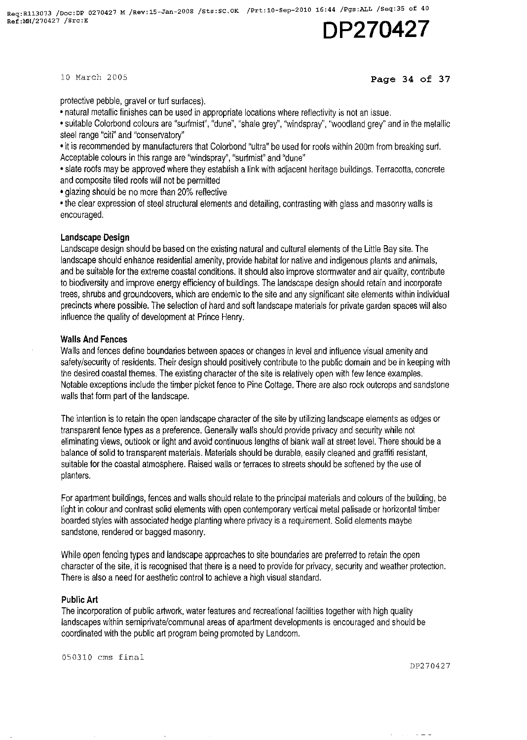10 March 2005

### Page 34 of 37

protective pebble, gravel or turf surfaces).

• natural metallic finishes can be used in appropriate locations where reflectivity is not an issue.

• suitable Colorbond colours are "surfmist", "dune", "shale grey", "windspray", "woodland grey" and in the metallic steel range "citi" and "conservatory"

• it is recommended by manufacturers that Colorbond "ultra" be used for roofs within 200m from breaking surf. Acceptable colours in this range are "windspray", "surfmist" and "dune"

• slate roofs may be approved where they establish a link with adjacent heritage buildings. Terracotta, concrete and composite tiled roofs will not be permitted

• glazing should be no more than 20% reflective

• the clear expression of steel structural elements and detailing, contrasting with glass and masonry walls is encouraged.

#### **Landscape Design**

Landscape design should be based on the existing natural and cultural elements of the Little Bay site. The landscape should enhance residential amenity, provide habitat for native and indigenous plants and animals, and be suitable for the extreme coastal conditions. It should also improve stormwater and air quality, contribute to biodiversity and improve energy efficiency of buildings. The landscape design should retain and incorporate trees, shrubs and groundcovers, which are endemic to the site and any significant site elements within individual precincts where possible. The selection of hard and soft landscape materials for private garden spaces will also influence the quality of development at Prince Henry.

### **Walls And Fences**

Walls and fences define boundaries between spaces or changes in level and influence visual amenity and safety/security of residents. Their design should positively contribute to the public domain and be in keeping with the desired coastal themes. The existing character of the site is relatively open with few fence examples. Notable exceptions include the timber picket fence to Pine Cottage. There are also rock outcrops and sandstone walls that form part of the landscape.

The intention is to retain the open landscape character of the site by utilizing landscape elements as edges or transparent fence types as a preference. Generally walls should provide privacy and security while not eliminating views, outlook or light and avoid continuous lengths of blank wall at street level. There should be a balance of solid to transparent materials. Materials should be durable, easily cleaned and graffiti resistant, suitable for the coastal atmosphere. Raised walls or terraces to streets should be softened by the use of planters.

For apartment buildings, fences and walls should relate to the principal materials and colours of the building, be light in colour and contrast solid elements with open contemporary vertical metal palisade or horizontal timber boarded styles with associated hedge planting where privacy is a requirement. Solid elements maybe sandstone, rendered or bagged masonry.

While open fencing types and landscape approaches to site boundaries are preferred to retain the open character of the site, it is recognised that there is a need to provide for privacy, security and weather protection. There is also a need for aesthetic control to achieve a high visual standard.

# **Public Art**

The incorporation of public artwork, water features and recreational facilities together with high quality landscapes within semiprivate/communal areas of apartment developments is encouraged and should be coordinated with the public art program being promoted by Landcom.

050310 cms final

DP270427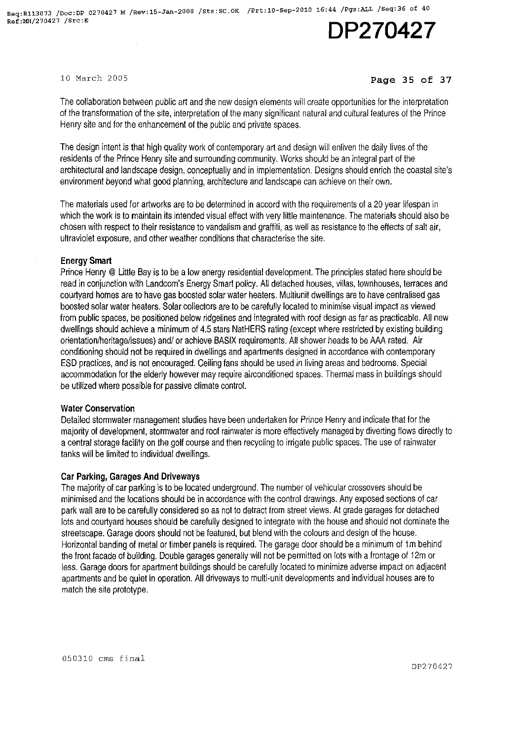10 March 2005

## **Page 35 of 37**

The collaboration between public art and the new design elements will create opportunities for the interpretation of the transformation of the site, interpretation of the many significant natural and cultural features of the Prince Henry site and for the enhancement of the public and private spaces.

The design intent is that high quality work of contemporary art and design will enliven the daily lives of the residents of the Prince Henry site and surrounding community. Works should be an integral part of the architectural and landscape design, conceptually and in implementation. Designs should enrich the coastal site's environment beyond what good planning, architecture and landscape can achieve on their own.

The materials used for artworks are to be determined in accord with the requirements of a 20 year lifespan in which the work is to maintain its intended visual effect with very little maintenance. The materials should also be chosen with respect to their resistance to vandalism and graffiti, as well as resistance to the effects of salt air, ultraviolet exposure, and other weather conditions that characterise the site.

# **Energy Smart**

Prince Henry @ Little Bay is to be a low energy residential development. The principles stated here should be read in conjunction with Landcom's Energy Smart policy. All detached houses, villas, townhouses, terraces and courtyard homes are to have gas boosted solar water heaters. Multiunit dwellings are to have centralised gas boosted solar water heaters. Solar collectors are to be carefully located to minimise visual impact as viewed from public spaces, be positioned below ridgelines and integrated with roof design as far as practicable. All new dwellings should achieve a minimum of 4.5 stars NatHERS rating (except where restricted by existing building orientation/heritage/issues) and/ or achieve BASIX requirements. All shower heads to be AM rated. Air conditioning should not be required in dwellings and apartments designed in accordance with contemporary ESD practices, and is not encouraged. Ceiling fans should be used in living areas and bedrooms. Special accommodation for the elderly however may require airconditioned spaces. Thermal mass in buildings should be utilized where possible for passive climate control.

#### **Water Conservation**

Detailed stormwater management studies have been undertaken for Prince Henry and indicate that for the majority of development, stormwater and roof rainwater is more effectively managed by diverting flows directly to a central storage facility on the golf course and then recycling to irrigate public spaces. The use of rainwater tanks will be limited to individual dwellings.

# **Car Parking, Garages And Driveways**

The majority of car parking is to be located underground. The number of vehicular crossovers should be minimised and the locations should be in accordance with the control drawings. Any exposed sections of car park wall are to be carefully considered so as not to detract from street views. At grade garages for detached lots and courtyard houses should be carefully designed to integrate with the house and should not dominate the streetscape. Garage doors should not be featured, but blend with the colours and design of the house. Horizontal banding of metal or timber panels is required. The garage door should be a minimum of 1m behind the front facade of building. Double garages generally will not be permitted on lots with a frontage of 12m or less. Garage doors for apartment buildings should be carefully located to minimize adverse impact on adjacent apartments and be quiet in operation. All driveways to multi-unit developments and individual houses are to match the site prototype.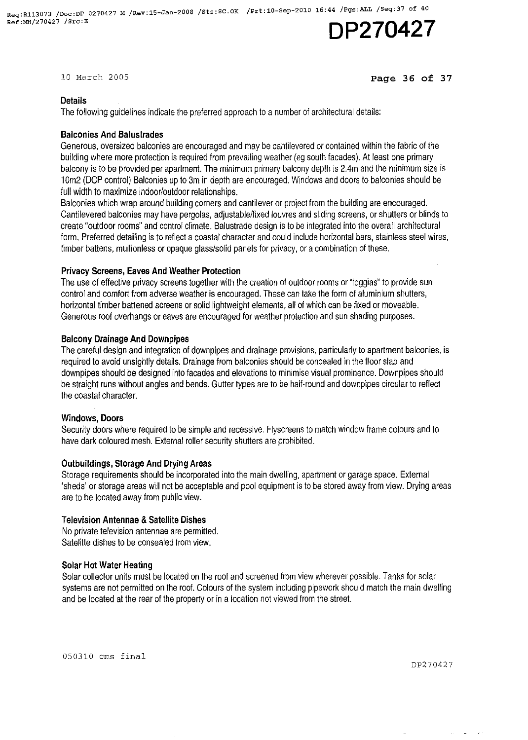10 March 2005

# Page 36 of 37

# **Details**

The following guidelines indicate the preferred approach to a number of architectural details:

# Balconies And Balustrades

Generous, oversized balconies are encouraged and may be cantilevered or contained within the fabric of the building where more protection is required from prevailing weather (eg south facades). At least one primary balcony is to be provided per apartment. The minimum primary balcony depth is 2.4m and the minimum size is 10m2 (DCP control) Balconies up to 3m in depth are encouraged. Windows and doors to balconies should be full width to maximize indoor/outdoor relationships.

Balconies which wrap around building corners and cantilever or project from the building are encouraged. Cantilevered balconies may have pergolas, adjustable/fixed louvres and sliding screens, or shutters or blinds to create "outdoor rooms" and control climate. Balustrade design is to be integrated into the overall architectural form. Preferred detailing is to reflect a coastal character and could include horizontal bars, stainless steel wires, timber battens, mullionless or opaque glass/solid panels for privacy, or a combination of these.

# Privacy Screens, Eaves And Weather Protection

The use of effective privacy screens together with the creation of outdoor rooms or "loggias" to provide sun control and comfort from adverse weather is encouraged. These can take the form of aluminium shutters, horizontal timber battened screens or solid lightweight elements, all of which can be fixed or moveable. Generous roof overhangs or eaves are encouraged for weather protection and sun shading purposes.

# Balcony Drainage And Downpipes

The careful design and integration of downpipes and drainage provisions, particularly to apartment balconies, is required to avoid unsightly details. Drainage from balconies should be concealed in the floor slab and down pipes should be designed into facades and elevations to minimise visual prominence. Downpipes should be straight runs without angles and bends. Gutter types are to be half-round and downpipes circular to reflect the coastal character.

# Windows, Doors

Security doors where required to be simple and recessive. Flyscreens to match window frame colours and to have dark coloured mesh. External roller security shutters are prohibited.

# Outbuildings, Storage And Drying Areas

Storage requirements should be incorporated into the main dwelling, apartment or garage space. External 'sheds' or storage areas will not be acceptable and pool equipment is to be stored away from view. Drying areas are to be located away from public view.

# Television Antennae & Satellite Dishes

No private television antennae are permitted. Satelitte dishes to be consealed from view.

# Solar Hot Water Heating

Solar collector units must be located on the roof and screened from view wherever possible. Tanks for solar systems are not permitted on the roof. Colours of the system including pipework should match the main dwelling and be located at the rear of the property or in a location not viewed from the street.